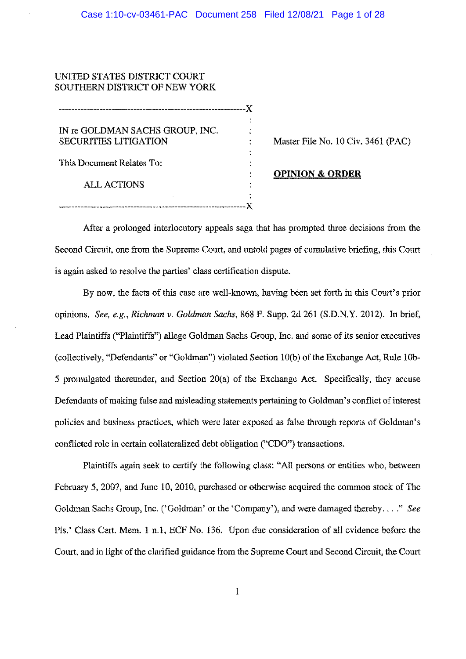# UNITED STATES DISTRICT COURT SOUTHERN DISTRICT OF NEW YORK

| IN re GOLDMAN SACHS GROUP, INC. |  |
|---------------------------------|--|
| <b>SECURITIES LITIGATION</b>    |  |
| This Document Relates To:       |  |
| <b>ALL ACTIONS</b>              |  |
|                                 |  |

Master File No. 10 Civ. 3461 (PAC)

**OPINION & ORDER** 

After a prolonged interlocutory appeals saga that has prompted three decisions from the Second Circuit, one from the Supreme Court, and untold pages of cumulative briefing, this Court is again asked to resolve the parties' class certification dispute.

By now, the facts of this case are well-known, having been set forth in this Court's prior opinions. *See, e.g., Richman v. Goldman Sachs,* 868 F. Supp. 2d 261 (S.D.N.Y. 2012). In brief, Lead Plaintiffs ("Plaintiffs") allege Goldman Sachs Group, Inc, and some of its senior executives (collectively, "Defendants" or "Goldman") violated Section 10(b) of the Exchange Act, Rule 10b-*5* promulgated thereunder, and Section 20(a) of the Exchange Act. Specifically, they accuse Defendants of making false and misleading statements pertaining to Goldman's conflict of interest policies and business practices, which were later exposed as false through reports of Goldman's conflicted role in certain collateralized debt obligation ("CDO'') transactions.

Plaintiffs again seek to certify the following class: "All persons or entities who, between February 5, 2007, and June 10, 2010, purchased or otherwise acquired the common stock of The Goldman Sachs Group, Inc. ('Goldman' or the 'Company'), and were damaged thereby .... " *See*  Pls.' Class Cert. Mem. 1 n.l, ECF No. 136. Upon due consideration of all evidence before the Court, and in light of the clarified guidance from tbe Supreme Court and Second Circuit, the Court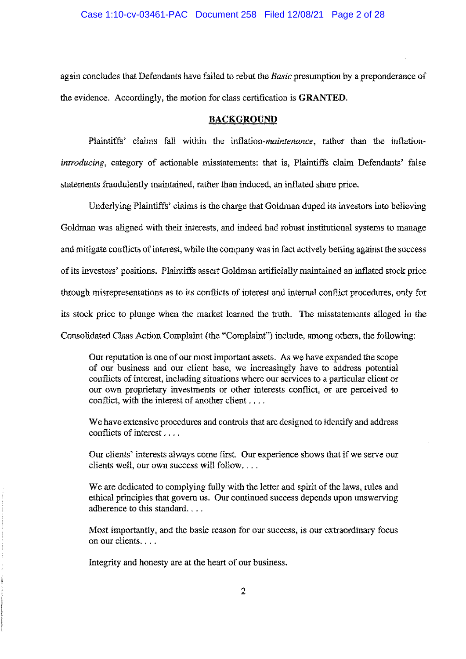again concludes that Defendants have failed to rebut the *Basic* presumption by a preponderance of the evidence. Accordingly, the motion for class certification is **GRANTED,** 

### **BACKGROUND**

Plaintiffs' claims fall within the *inflation-maintenance,* rather than the inflation• *introducing,* category of actionable misstatements: that is, Plaintiffs claim Defendants' false statements fraudulently maintained, rather than induced, an inflated share price.

Underlying Plaintiffs' claims is the charge that Goldman duped its investors into believing Goldman was aligned with their interests, and indeed had robust institutional systems to manage and mitigate conflicts of interest, while the company was in fact actively betting against the success of its investors' positions. Plaintiffs assert Goldman artificially maintained an inflated stock price through misrepresentations as to its conflicts of interest and internal conflict procedures, only for its stock price to plunge when the market learned the truth. The misstatements alleged in the Consolidated Class Action Complaint (the "Complaint") include, among others, the following:

Our reputation is one of our most important assets. As we have expanded the scope of our business and our client base, we increasingly have to address potential conflicts of interest, including situations where our services to a particular client or our own proprietary investments or other interests conflict, or are perceived to conflict, with the interest of another client  $\dots$ .

We have extensive procedures and controls that are designed to identify and address conflicts of interest , . , ,

Our clients' interests always come first. Our experience shows that if we serve our clients well, our own success will follow....

We are dedicated to complying fully with the letter and spirit of the laws, rules and ethical principles that govern us. Our continued success depends upon unswerving adherence to this standard. . . ,

Most importantly, and the basic reason for our success, is our extraordinary focus on our clients. , ..

Integrity and honesty are at the heart of our business,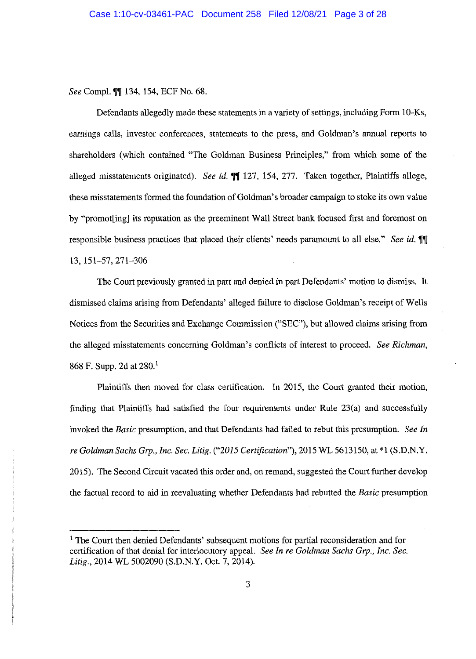*See* Compl. **m[** 134, 154, ECF No. 68.

Defendants allegedly made these statements in a variety of settings, including Form 10-Ks, earnings calls, investor conferences, statements to the press, and Goldman's annual reports to shareholders (which contained "The Goldman Business Principles," from which some of the alleged misstatements originated). *See id.*  $\llbracket \llbracket 127, 154, 277$ . Taken together, Plaintiffs allege, these misstatements formed the foundation of Goldman's broader campaign to stoke its own value by "promot[ing] its reputation as the preeminent Wall Street bank focused first and foremost on responsible business practices that placed their clients' needs paramount to all else." *See id.* **11** 13, 151-57,271-306

The Court previously granted in part and denied in part Defendants' motion to dismiss. It dismissed claims arising from Defendants' alleged failure to disclose Goldman's receipt of Wells Notices from the Securities and Exchange Commission ("SEC"), but allowed claims arising from the alleged misstatements concerning Goldman's conflicts of interest to proceed. *See Richman,*  868 F. Supp. 2d at  $280<sup>1</sup>$ 

Plaintiffs then moved for class certification. In 2015, the Court granted their motion, finding that Plaintiffs had satisfied the four requirements under Rule 23(a) and successfully invoked the *Basic* presumption, and that Defendants had failed to rebut this presumption. *See In re Goldman Sachs Grp., Inc. Sec. Litig. ("2015 Certification'),* 2015 WL 5613150, at \*1 (S.D.N.Y. 2015). The Second Circuit vacated this order and, on remand, suggested the Court further develop the factual record to aid in reevaluating whether Defendants had rebutted the *Basic* presumption

<sup>&</sup>lt;sup>1</sup> The Court then denied Defendants' subsequent motions for partial reconsideration and for certification of that denial for interlocutory appeal. *See In re Goldman Sachs Grp., Inc. Sec. Litig.,* 2014 WL 5002090 **(S.D.N.Y.** Oct. 7, 2014).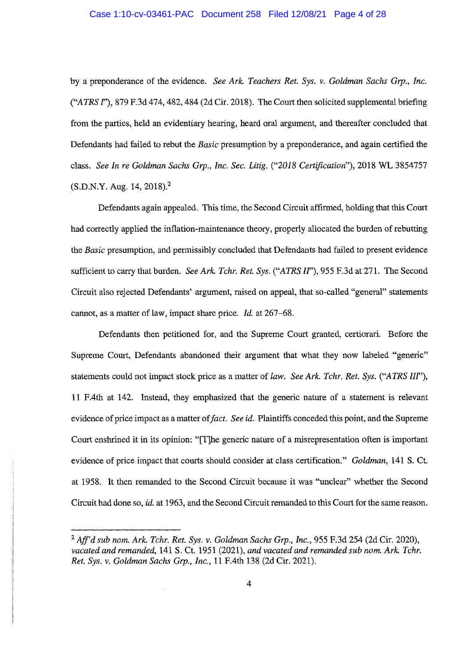by a preponderance of the evidence. *See Ark. Teachers Ret. Sys.* v. *Goldman Sachs Grp., Inc. ("ATRS* I''), 879 F.3d 474,482,484 (2d Cir. 2018). The Court then solicited supplemental briefing from the parties, held an evidentiary hearing, heard oral argument, and thereafter concluded that Defendants had failed to rebut the *Basic* presumption by a preponderance, and again certified the class. *See In re Goldman Sachs Grp., Inc. Sec. Litig. ("2018 Certification"),* 2018 WL 3854757 (S.D.N.Y. Aug. 14, 2018).<sup>2</sup>

Defendants again appealed. This time, the Second Circuit affirmed, holding that this Court had correctly applied the inflation-maintenance theory, properly allocated the burden of rebutting the *Basic* presumption, and permissibly concluded that Defendants had failed to present evidence sufficient to carry that burden. *See Ark. Tchr. Ret. Sys. ("ATRS II"),* 955 F.3d at 271. The Second Circuit also rejected Defendants' argument, raised on appeal, that so-called "general" statements cannot, as a matter of law, impact share price. *Id.* at 267-68.

Defendants then petitioned for, and the Supreme Court granted, certiorari. Before the Supreme Court, Defendants abandoned their argument that what they now labeled "generic" statements could not impact stock price as a matter of *law. See Ark. Tchr. Ret. Sys. ("ATRS III"),*  11 F.4th at 142. Instead, they emphasized that the generic nature of a statement is relevant evidence of price impact as a matter of *fact. See id.* Plaintiffs conceded this point, and the Supreme Court enshrined it in its opinion: "[T]he generic nature of a misrepresentation often is important evidence of price impact that courts should consider at class certification." *Goldman,* 141 S. Ct. at 1958. It then remanded to the Second Circuit because it was "unclear" whether the Second Circuit had done so, *id.* at 1963, and the Second Circuit remanded to this Court for the same reason.

<sup>2</sup>*Aff'd sub nom. Ark. Tchr. Ret. Sys.* v. *Goldman Sachs Grp., Inc.,* 955 F.3d 254 (2d Cir. 2020), *vacated and remanded,* 141 S. Ct. 1951 (2021), *and vacated and remanded sub nom. Ark. Tchr. Ret. Sys.* v. *Goldman Sachs Grp., Inc.,* 11 F.4th 138 (2d Cir. 2021).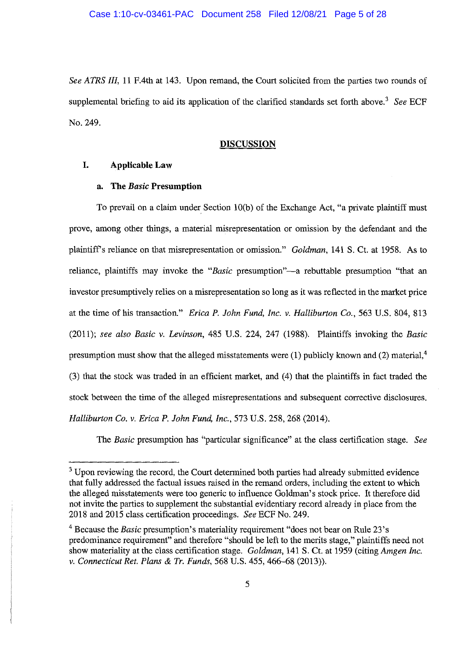*See ATRS III,* 11 F.4th at 143. Upon remand, the Court solicited from the parties two rounds of supplemental briefing to aid its application of the clarified standards set forth above.<sup>3</sup> See ECF No. 249.

#### **DISCUSSION**

### **I. Applicable Law**

#### **a. The** *Basic* **Presumption**

To prevail on a claim under Section 10(b) of the Exchange Act, "a private plaintiff must prove, among other things, a material misrepresentation or omission by the defendant and the plaintiffs reliance on that misrepresentation or omission." *Goldman,* 141 S. Ct. at 1958. As to reliance, plaintiffs may invoke the "*Basic* presumption"—a rebuttable presumption "that an investor presumptively relies on a misrepresentation so long as it was reflected in the market price at the time of his transaction." *Erica P. John Fund, Inc. v. Halliburton Co.,* 563 U.S. 804, 813 (2011); *see also Basic v. Levinson,* 485 U.S. 224, 247 (1988). Plaintiffs invoking the *Basic*  presumption must show that the alleged misstatements were  $(1)$  publicly known and  $(2)$  material,<sup>4</sup> (3) that the stock was traded in an efficient market, and (4) that the plaintiffs in fact traded the stock between the time of the alleged misrepresentations and subsequent corrective disclosures. *Halliburton Co. v. Erica P. John Fund, Inc.,* 573 U.S. 258, 268 (2014).

The *Basic* presumption has "particular significance" at the class certification stage. *See* 

<sup>&</sup>lt;sup>3</sup> Upon reviewing the record, the Court determined both parties had already submitted evidence that fully addressed the factual issues raised in the remand orders, including the extent to which the alleged misstatements were too generic to influence Goldman's stock price. It therefore did not invite the parties to supplement the substantial evidentiary record already in place from the 2018 and 2015 class certification proceedings. *See* ECF No. 249.

<sup>4</sup>Because the *Basic* presumption's materiality requirement "does not bear on Rule 23's predominance requirement" and therefore "should be left to the merits stage," plaintiffs need not show materiality at the class certification stage. *Goldman,* 141 S. Ct. at 1959 (citing *Amgen Inc. v. Connecticut Ret. Plans* & *Tr. Funds,* 568 U.S. 455, 466--68 (2013)).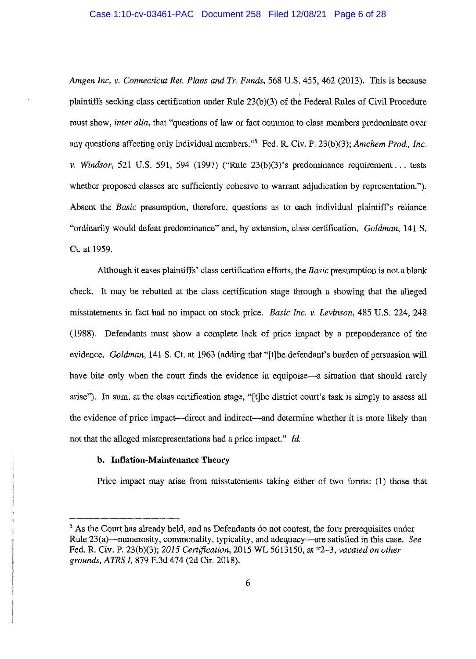#### Case 1:10-cv-03461-PAC Document 258 Filed 12/08/21 Page 6 of 28

*Amgen Inc. v. Connecticut Ret. Plans and Tr. Funds,* 568 U.S. 455, 462 (2013). This is because plaintiffs seeking class certification under Rule 23(b )(3) of the Federal Rules of Civil Procedure must show, *inter alia,* that "questions of law or fact common to class members predominate over any questions affecting only individual members."<sup>5</sup> Fed. R. Civ. P. 23(b)(3); *Amchem Prod., Inc. v. Windsor,* 521 U.S. 591, 594 (1997) ("Rule 23(b)(3)'s predominance requirement ... tests whether proposed classes are sufficiently cohesive to warrant adjudication by representation."). Absent the *Basic* presumption, therefore, questions as to each individual plaintiff's reliance "ordinarily would defeat predominance" and, by extension, class certification. *Goldman,* 141 S. Ct. at 1959.

Although it eases plaintiffs' class certification efforts, the *Basic* presumption is not a blank check. It may be rebutted at the class certification stage through a showing that the alleged misstatements in fact had no impact on stock price. *Basic Inc. v. Levinson,* 485 U.S. 224, 248 (1988). Defendants must show a complete lack of price impact by a preponderance of the evidence. *Goldman,* 141 S. Ct. at 1963 (adding that "[t]he defendant's burden of persuasion will have bite only when the court finds the evidence in equipoise—a situation that should rarely arise"). In sum, at the class certification stage, "[t)he district court's task is simply to assess all the evidence of price impact--direct and indirect-and determine whether it is more likely than not that the alleged misrepresentations had a price impact." *Id.* 

#### **b. Inflation-Maintenance Theory**

Price impact may arise from misstatements taking either of two forms: (1) those that

 $<sup>5</sup>$  As the Court has already held, and as Defendants do not contest, the four prerequisites under</sup> Rule 23(a)-numerosity, commonality, typicality, and adequacy-are satisfied in this case. *See*  Fed. R. Civ. P. 23(b)(3); *2015 Certification,* 2015 WL 5613150, at \*2-3, *vacated on other grounds, ATRS I,* 879 F.3d 474 (2d Cir. 2018).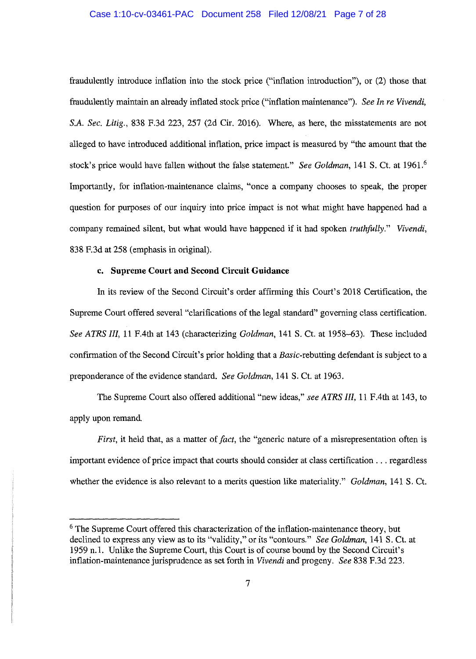#### Case 1:10-cv-03461-PAC Document 258 Filed 12/08/21 Page 7 of 28

fraudulently introduce inflation into the stock price ("inflation introduction"), or (2) those that fraudulently maintain an already inflated stock price ("inflation maintenance"). *See In re Vivendi, S.A. Sec. Litig.,* 838 F.3d 223, 257 (2d Cir. 2016). Where, as here, the misstatements are not alleged to have introduced additional inflation, price impact is measured by "the amount that the stock's price would have fallen without the false statement." *See Goldman,* 141 S. Ct. at 1961.<sup>6</sup> Importantly, for inflation-maintenance claims, "once a company chooses to speak, the proper question for purposes of our inquiry into price impact is not what might have happened had a company remained silent, but what would have happened if it had spoken *truthfully." Vivendi,*  838 F.3d at 258 (emphasis in original).

### **c. Supreme Court and Second Circuit Guidance**

In its review of the Second Circuit's order affirming this Court's 2018 Certification, the Supreme Court offered several "clarifications of the legal standard" governing class certification. *See ATRS Ill,* 11 F.4th at 143 (characterizing *Goldman,* 141 S. Ct. at 1958-63). These included confirmation of the Second Circuit's prior holding that a Basic-rebutting defendant is subject to a preponderance of the evidence standard. *See Goldman,* 141 S. Ct. at 1963.

The Supreme Court also offered additional "new ideas," *see ATRS III,* 11 F.4th at 143, to apply upon remand.

*First,* it held that, as a matter of *fact*, the "generic nature of a misrepresentation often is important evidence of price impact that courts should consider at class certification ... regardless whether the evidence is also relevant to a merits question like materiality." *Goldman,* 141 S. Ct.

<sup>&</sup>lt;sup>6</sup> The Supreme Court offered this characterization of the inflation-maintenance theory, but declined to express any view as to its "validity," or its "contours." *See Goldman,* 141 S. Ct. at 1959 n.1. Unlike the Supreme Court, this Court is of course bound by the Second Circuit's inflation-maintenance jurisprudence as set forth in *Vivendi* and progeny. *See* 838 F.3d 223.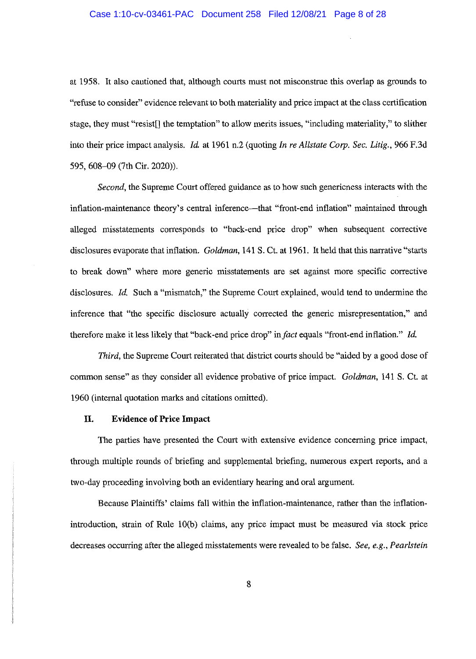#### Case 1:10-cv-03461-PAC Document 258 Filed 12/08/21 Page 8 of 28

at 1958. It also cautioned that, although courts must not misconstrue this overlap as grounds to "refuse to consider" evidence relevant to both materiality and price impact at the class certification stage, they must "resist[] the temptation" to allow merits issues, "including materiality," to slither into their price impact analysis. *Id.* at 1961 n.2 (quoting *In re Allstate Corp. Sec. Litig.,* 966 F.3d 595, 608-09 (7th Cir. 2020)).

*Second,* the Supreme Court offered guidance as to how such genericness interacts with the inflation-maintenance theory's central inference—that "front-end inflation" maintained through alleged misstatements corresponds to "back-end price drop" when subsequent corrective disclosures evaporate that inflation. *Goldman,* 141 S. Ct. at 1961. It held that this narrative "starts to break down" where more generic misstatements are set against more specific corrective disclosures. *Id.* Such a "mismatch," the Supreme Court explained, would tend to undermine the inference that "the specific disclosure actually corrected the generic misrepresentation," and therefore make it less likely that "back-end price drop" in *fact* equals "front-end inflation." *Id.* 

*Third*, the Supreme Court reiterated that district courts should be "aided by a good dose of common sense" as they consider all evidence probative of price impact. *Goldman,* 141 S. Ct. at 1960 (internal quotation marks and citations omitted).

### **II. Evidence of Price Impact**

The parties have presented the Court with extensive evidence concerning price impact, through multiple rounds of briefing and supplemental briefing, numerous expert reports, and a two-day proceeding involving both an evidentiary hearing and oral argument.

Because Plaintiffs' claims fall within the inflation-maintenance, rather than the inflationintroduction, strain of Rule lO(b) claims, any price impact must be measured via stock price decreases occurring after the alleged misstatements were revealed to be false. *See, e.g., Pearlstein*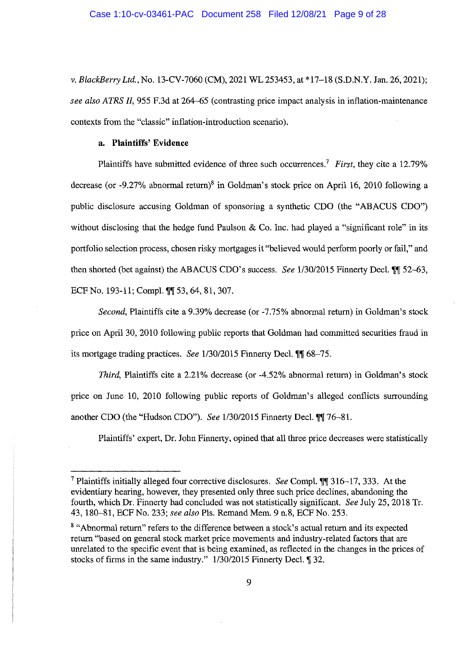*v. Black.Berry Ltd.,* No. 13-CV-7060 (CM), 2021 WL 253453, at \*17-18 (S.D.N.Y. Jan. 26, 2021); *see also ATRS II,* 955 F.3d at 264-65 (contrasting price impact analysis in inflation-maintenance contexts from the "classic" inflation-introduction scenario).

### **a. Plaintiffs' Evidence**

Plaintiffs have submitted evidence of three such occurrences.7 *First,* they cite a 12.79% decrease (or  $-9.27\%$  abnormal return)<sup>8</sup> in Goldman's stock price on April 16, 2010 following a public disclosure accusing Goldman of sponsoring a synthetic CDO (the "ABACUS CDO") without disclosing that the hedge fund Paulson & Co. Inc. had played a "significant role" in its portfolio selection process, chosen risky mortgages it "believed would perform poorly or fail," and then shorted (bet against) the ABACUS CDO's success. *See 1/30/2015* Finnerty Decl. **11** 52-63, ECF No. 193-11; Compl. **11** 53, 64, 81, 307.

*Second,* Plaintiffs cite a 9.39% decrease (or -7.75% abnormal return) in Goldman's stock price on April 30, 2010 following public reports that Goldman had committed securities fraud in its mortgage trading practices. *See* 1/30/2015 Finnerty Decl. **(1)** 68-75.

*Third*, Plaintiffs cite a 2.21% decrease (or -4.52% abnormal return) in Goldman's stock price on June 10, 2010 following public reports of Goldman's alleged conflicts surrounding another CDO (the "Hudson CDO"). *See* 1/30/2015 Finnerty Decl.  $\P\P$  76-81.

Plaintiffs' expert, Dr. John Finnerty, opined that all three price decreases were statistically

<sup>7</sup>Plaintiffs initially alleged four corrective disclosures. *See* Comp\. **,i,r** 316-17, 333. At the evidentiary hearing, however, they presented only three such price declines, abandoning the fourth, which Dr. Finnerty had concluded was not statistically significant. *See* July 25, 2018 Tr. 43, 180-81, ECF No. 233; *see also* Pis. Remand Mem. 9 n.8, ECF No. 253.

<sup>8 &</sup>quot;Abnormal return" refers to the difference between a stock's actual return and its expected return "based on general stock market price movements and industry-related factors that are unrelated to the specific event that is being examined, as reflected in the changes in the prices of stocks of firms in the same industry." 1/30/2015 Finnerty Decl. **[32.**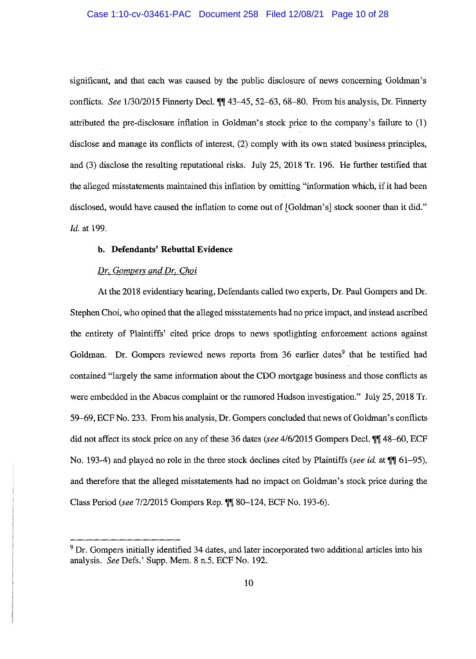#### Case 1:10-cv-03461-PAC Document 258 Filed 12/08/21 Page 10 of 28

significant, and that each was caused by the public disclosure of news concerning Goldman's conflicts. *See* 1/30/2015 Finnerty Decl.  $\P\P$  43-45, 52-63, 68-80. From his analysis, Dr. Finnerty attributed the pre-disclosure inflation in Goldman's stock price to the company's failure to (1) disclose and manage its conflicts of interest, (2) comply with its own stated business principles, and (3) disclose the resulting reputational risks. July 25, 2018 Tr. 196. He further testified that the alleged misstatements maintained this inflation by omitting "information which, if it had been disclosed, would have caused the inflation to come out of [Goldman's] stock sooner than it did." *Id.* at 199.

# **b. Defendants' Rebuttal Evidence**

#### *Dr. Gompers and Dr. Choi*

At the 2018 evidentiary hearing, Defendants called two experts, Dr. Paul Gompers and Dr. Stephen Choi, who opined that the alleged misstatements had no price impact, and instead ascribed the entirety of Plaintiffs' cited price drops to news spotlighting enforcement actions against Goldman. Dr. Gompers reviewed news reports from 36 earlier dates<sup>9</sup> that he testified had contained "largely the same information about the CDO mortgage business and those conflicts as were embedded in the Abacus complaint or the rumored Hudson investigation." July 25, 2018 Tr. 59-69, ECF No. 233. From his analysis, Dr. Gompers concluded that news of Goldman's conflicts did not affect its stock price on any of these 36 dates *(see 4/6/2015 Gompers Decl.* 11) 48–60, ECF No. 193-4) and played no role in the three stock declines cited by Plaintiffs *(see id.* at **11** 61-95), and therefore that the alleged misstatements had no impact on Goldman's stock price during the Class Period (see 7/2/2015 Gompers Rep. <sup>1</sup>] 80-124, ECF No. 193-6).

<sup>&</sup>lt;sup>9</sup> Dr. Gompers initially identified 34 dates, and later incorporated two additional articles into his analysis. *See* Defs.' Supp. Mem. 8 n.5, ECF No. 192.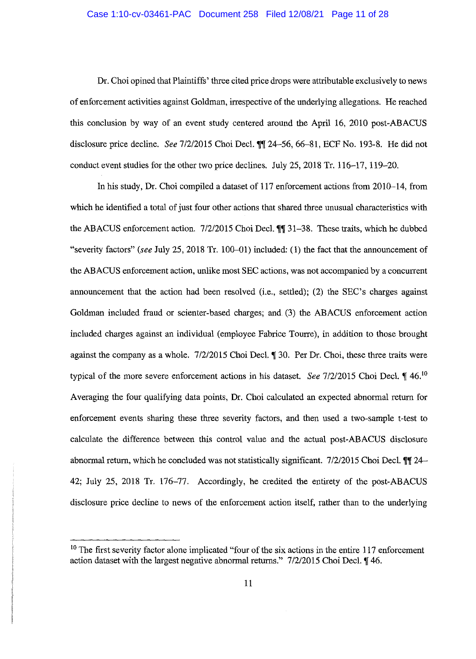#### Case 1:10-cv-03461-PAC Document 258 Filed 12/08/21 Page 11 of 28

Dr. Choi opined that Plaintiffs' three cited price drops were attributable exclusively to news of enforcement activities against Goldman, irrespective of the underlying allegations. He reached this conclusion by way of an event study centered around the April 16, 2010 post-ABACUS disclosure price decline. *See* 7/2/2015 Choi Deel. **,i,i** 24-56, 66--81, ECF No. 193-8. He did not conduct event studies for the other two price declines. July 25, 2018 Tr. 116--17, 119-20.

In his study, Dr. Choi compiled a dataset of 117 enforcement actions from 2010-14, from which he identified a total of just four other actions that shared three unusual characteristics with the ABACUS enforcement action. 7/2/2015 Choi Decl. **11** 31–38. These traits, which he dubbed "severity factors" *(see* July 25, 2018 Tr. 100-01) included: (1) the fact that the announcement of the ABACUS enforcement action, unlike most SEC actions, was not accompanied by a concurrent announcement that the action had been resolved (i.e., settled); (2) the SEC's charges against Goldman included fraud or scienter-based charges; and (3) the ABACUS enforcement action included charges against an individual (employee Fabrice Tourre), in addition to those brought against the company as a whole. 7/2/2015 Choi Decl. **1** 30. Per Dr. Choi, these three traits were typical of the more severe enforcement actions in his dataset. *See 7/2/2015* Choi Decl. *446.*<sup>10</sup> Averaging the four qualifying data points, Dr. Choi calculated an expected abnormal return for enforcement events sharing these three severity factors, and then used a two-sample t-test to calculate the difference between this control value and the actual post-ABACUS disclosure abnormal return, which he concluded was not statistically significant. 7/2/2015 Choi Decl. **[1]** 24– 42; July 25, 2018 Tr. 176–77. Accordingly, he credited the entirety of the post-ABACUS disclosure price decline to news of the enforcement action itself, rather than to the underlying

<sup>&</sup>lt;sup>10</sup> The first severity factor alone implicated "four of the six actions in the entire 117 enforcement action dataset with the largest negative abnormal returns." 7/2/2015 Choi Decl. **|**46.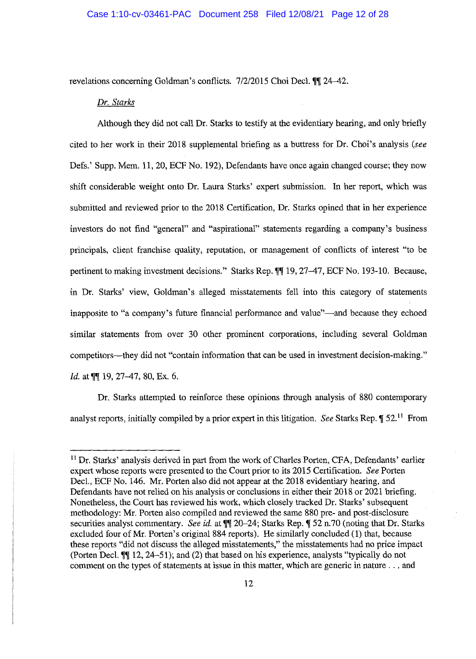#### Case 1:10-cv-03461-PAC Document 258 Filed 12/08/21 Page 12 of 28

revelations concerning Goldman's conflicts. 7/2/2015 Choi Decl. **\ff** 24-42.

#### *Dr. Starks*

Although they did not call Dr. Starks to testify at the evidentiary hearing, and only briefly cited to her work in their 2018 supplemental briefing as a buttress for Dr. Choi's analysis *(see*  Defs.' Supp. Mem. 11, 20, ECF No. 192), Defendants have once again changed course; they now shift considerable weight onto Dr. Laura Starks' expert submission. In her report, which was submitted and reviewed prior to the 2018 Certification, Dr. Starks opined that in her experience investors do not find "general" and "aspirational" statements regarding a company's business principals, client franchise quality, reputation, or management of conflicts of interest "to be pertinent to making investment decisions." Starks Rep.  $\mathbb{N}$  19, 27–47, ECF No. 193-10. Because, in Dr. Starks' view, Goldman's alleged misstatements fell into this category of statements inapposite to "a company's future financial performance and value"—and because they echoed similar statements from over 30 other prominent corporations, including several Goldman competitors—they did not "contain information that can be used in investment decision-making." *Id.* at *||* 19, 27-47, 80, Ex. 6.

Dr. Starks attempted to reinforce these opinions through analysis of 880 contemporary analyst reports, initially compiled by a prior expert in this litigation. *See Starks Rep.*  $\mathbb{I}$  52.<sup>11</sup> From

<sup>&</sup>lt;sup>11</sup> Dr. Starks' analysis derived in part from the work of Charles Porten, CFA, Defendants' earlier expert whose reports were presented to the Court prior to its 2015 Certification. *See* Porten Decl., ECF No. 146. Mr. Porten also did not appear at the 2018 evidentiary hearing, and Defendants have not relied on his analysis or conclusions in either their 2018 or 2021 briefing. Nonetheless, the Court has reviewed his work, which closely tracked Dr. Starks' subsequent methodology: Mr. Porten also compiled and reviewed the same 880 pre- and post-disclosure securities analyst commentary. *See id.* at  $\P$  20-24; Starks Rep.  $\P$  52 n.70 (noting that Dr. Starks excluded four of Mr. Porten's original 884 reports). He similarly concluded (1) that, because these reports "did not discuss the alleged misstatements," the misstatements had no price impact (Porten Decl. **11** 12, 24–51); and (2) that based on his experience, analysts "typically do not comment on the types of statements at issue in this matter, which are generic in nature ... and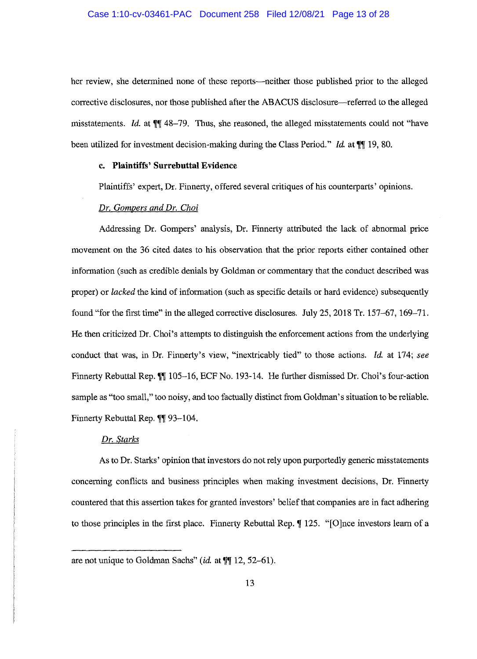her review, she determined none of these reports—neither those published prior to the alleged corrective disclosures, nor those published after the ABACUS disclosure—referred to the alleged misstatements. *Id.* at  $\mathbb{M}$  48-79. Thus, she reasoned, the alleged misstatements could not "have been utilized for investment decision-making during the Class Period." *Id.* at  $\P$ [19, 80.

### **c. Plaintiffs' Surrebuttal Evidence**

Plaintiffs' expert, Dr. Finnerty, offered several critiques of his counterparts' opinions.

# *Dr. Gompers and Dr. Choi*

Addressing Dr. Gompers' analysis, Dr. Finnerty attributed the lack of abnormal price movement on the 36 cited dates to his observation that the prior reports either contained other information (such as credible denials by Goldman or commentary that the conduct described was proper) or *lacked* the kind of information (such as specific details or hard evidence) subsequently found "for the first time" in the alleged corrective disclosures. July 25, 2018 Tr. 157-67, 169-71. He then criticized Dr. Choi's attempts to distinguish the enforcement actions from the underlying conduct that was, in Dr. Finnerty's view, "inextricably tied" to those actions. *Id.* at 174; *see*  Finnerty Rebuttal Rep. **W** 105-16, ECF No. 193-14. He further dismissed Dr. Choi's four-action sample as "too small," too noisy, and too factually distinct from Goldman's situation to be reliable. Finnerty Rebuttal Rep. **11** 93-104.

# *Dr. Starks*

As to Dr. Starks' opinion that investors do not rely upon purportedly generic misstatements concerning conflicts and business principles when making investment decisions, Dr. Finnerty countered that this assertion takes for granted investors' belief that companies are in fact adhering to those principles in the first place. Finnerty Rebuttal Rep. *[125.* "[O]nce investors learn of a

are not unique to Goldman Sachs" *(id.* at  $\P$  12, 52-61).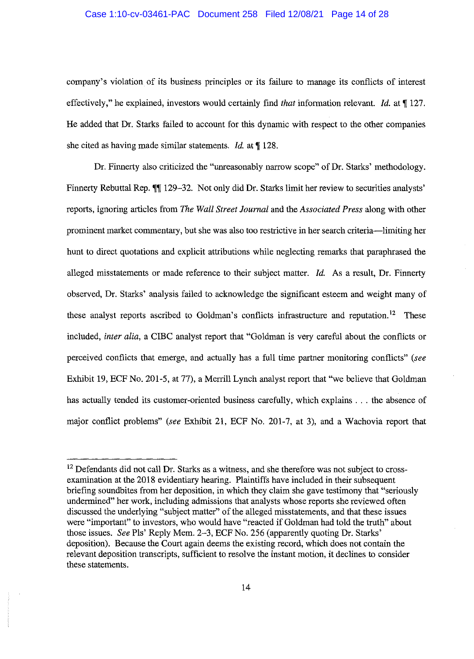#### Case 1:10-cv-03461-PAC Document 258 Filed 12/08/21 Page 14 of 28

company's violation of its business principles or its failure to manage its conflicts of interest effectively," he explained, investors would certainly find *that* information relevant. *Id.* at **[127.** He added that Dr. Starks failed to account for this dynamic with respect to the other companies she cited as having made similar statements. *Id.* at **f** 128.

Dr. Finnerty also criticized the "unreasonably narrow scope" of Dr. Starks' methodology. Finnerty Rebuttal Rep. **11** 129-32. Not only did Dr. Starks limit her review to securities analysts' reports, ignoring articles from *The Wall Street Journal* and the *Associated Press* along with other prominent market commentary, but she was also too restrictive in her search criteria-limiting her hunt to direct quotations and explicit attributions while neglecting remarks that paraphrased the alleged misstatements or made reference to their subject matter. *Id.* As a result, Dr. Finnerty observed, Dr. Starks' analysis failed to acknowledge the significant esteem and weight many of these analyst reports ascribed to Goldman's conflicts infrastructure and reputation.<sup>12</sup> These included, *inter alia,* a CIBC analyst report that "Goldman is very careful about the conflicts or perceived conflicts that emerge, and actually has a full time partner monitoring conflicts" *(see*  Exhibit 19, ECF No. 201-5, at 77), a Merrill Lynch analyst report that "we believe that Goldman has actually tended its customer-oriented business carefully, which explains . . . the absence of major conflict problems" *(see* Exhibit 21, ECF No. 201-7, at 3), and a Wachovia report that

<sup>&</sup>lt;sup>12</sup> Defendants did not call Dr. Starks as a witness, and she therefore was not subject to crossexamination at the 2018 evidentiary hearing. Plaintiffs have included in their subsequent briefing soundbites from her deposition, in which they claim she gave testimony that "seriously undermined" her work, including admissions that analysts whose reports she reviewed often discussed the underlying "subject matter" of the alleged misstatements, and that these issues were "important" to investors, who would have "reacted if Goldman had told the truth" about those issues. *See* Pls' Reply Mem. 2-3, ECF No. 256 (apparently quoting Dr. Starks' deposition). Because the Court again deems the existing record, which does not contain the relevant deposition transcripts, sufficient to resolve the instant motion, it declines to consider these statements.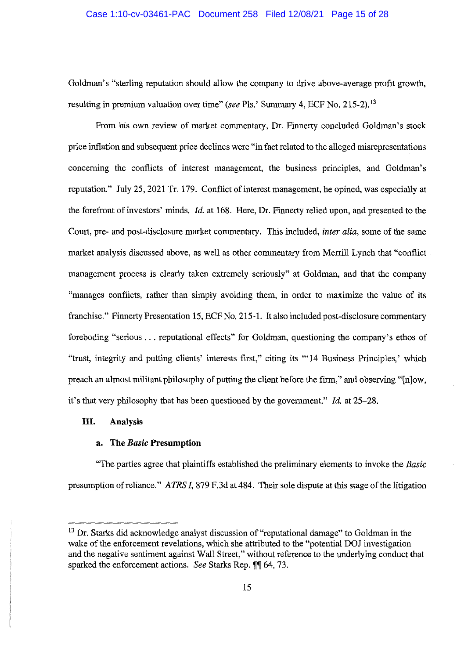#### Case 1:10-cv-03461-PAC Document 258 Filed 12/08/21 Page 15 of 28

Goldman's "sterling reputation should allow the company to drive above-average profit growth, resulting in premium valuation over time" *(see* Pis.' Summary 4, ECF No. 215-2). <sup>13</sup>

From bis own review of market commentary, Dr. Finnerty concluded Goldman's stock price inflation and subsequent price declines were "in fact related to the alleged misrepresentations concerning the conflicts of interest management, the business principles, and Goldman's reputation." July 25, 2021 Tr. 179. Conflict of interest management, he opined, was especially at the forefront of investors' minds. *Id.* at 168. Here, Dr. Finnerty relied upon, and presented to the Court, pre- and post-disclosure market commentary. This included, *inter alia,* some of the same market analysis discussed above, as well as other commentary from Merrill Lynch that "conflict management process is clearly taken extremely seriously" at Goldman, and that the company "manages conflicts, rather than simply avoiding them, in order to maximize the value of its franchise." Finnerty Presentation 15, ECF No. 215-1. It also included post-disclosure commentary foreboding "serious ... reputational effects" for Goldman, questioning the company's ethos of "trust, integrity and putting clients' interests first," citing its "'14 Business Principles,' which preach an almost militant philosophy of putting the client before the firm," and observing "[n]ow, it's that very philosophy that has been questioned by the government." *Id.* at 25-28.

### **III. Analysis**

### **a. The** *Basic* **Presumption**

"The parties agree that plaintiffs established the preliminary elements to invoke the *Basic*  presumption of reliance." *ATRS I,* 879 F.3d at 484. Their sole dispute at this stage of the litigation

<sup>&</sup>lt;sup>13</sup> Dr. Starks did acknowledge analyst discussion of "reputational damage" to Goldman in the wake of the enforcement revelations, which she attributed to the "potential DOJ investigation and the negative sentiment against Wall Street," without reference to the underlying conduct that sparked the enforcement actions. *See Starks Rep.*  $\P\P$  64, 73.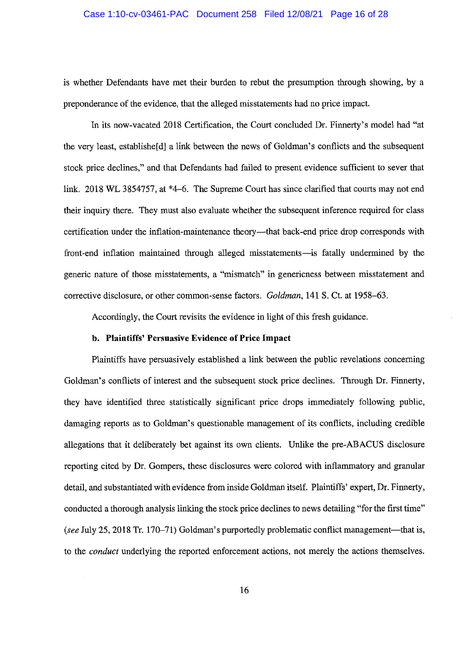#### Case 1:10-cv-03461-PAC Document 258 Filed 12/08/21 Page 16 of 28

is whether Defendants have met their burden to rebut the presumption through showing, by a preponderance of the evidence, that the alleged misstatements had no price impact.

In its now-vacated 2018 Certification, the Court concluded Dr. Finnerty's model had "at the very least, establishe<sup>[d]</sup> a link between the news of Goldman's conflicts and the subsequent stock price declines," and that Defendants had failed to present evidence sufficient to sever that link. 2018 WL 3854757, at \*4–6. The Supreme Court has since clarified that courts may not end their inquiry there. They must also evaluate whether the subsequent inference required for class certification under the inflation-maintenance theory—that back-end price drop corresponds with front-end inflation maintained through alleged misstatements-is fatally undermined by the generic nature of those misstatements, a "mismatch" in genericness between misstatement and corrective disclosure, or other common-sense factors. *Goldman,* 141 S. Ct. at 1958-63.

Accordingly, the Court revisits the evidence in light of this fresh guidance.

# **b. Plaintiffs' Persuasive Evidence of Price Impact**

Plaintiffs have persuasively established a link between the public revelations concerning Goldman's conflicts of interest and the subsequent stock price declines. Through Dr. Finnerty, they have identified three statistically significant price drops immediately following public, damaging reports as to Goldman's questionable management of its conflicts, including credible allegations that it deliberately bet against its own clients. Unlike the pre-ABACUS disclosure reporting cited by Dr. Gompers, these disclosures were colored with inflammatory and granular detail, and substantiated with evidence from inside Goldman itself. Plaintiffs' expert, Dr. Finnerty, conducted a thorough analysis linking the stock price declines to news detailing "for the first time" (see July 25, 2018 Tr. 170–71) Goldman's purportedly problematic conflict management—that is, to the *conduct* underlying the reported enforcement actions, not merely the actions themselves.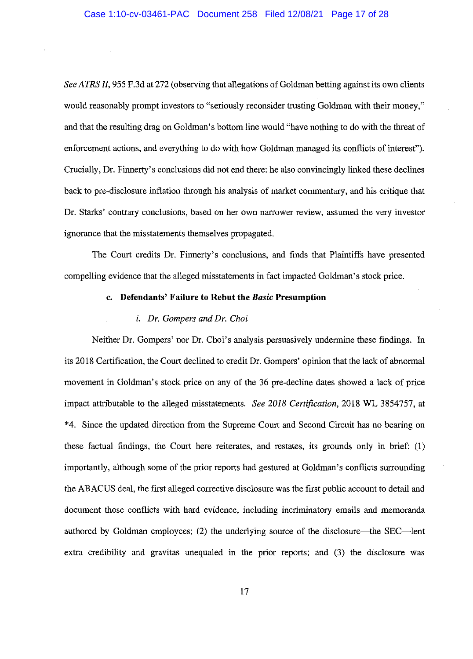*See ATRS II,* 955 F.3d at 272 (observing that allegations of Goldman betting against its own clients would reasonably prompt investors to "seriously reconsider trusting Goldman with their money," and that the resulting drag on Goldman's bottom line would "have nothing to do with the threat of enforcement actions, and everything to do with how Goldman managed its conflicts of interest"). Crucially, Dr. Finnerty's conclusions did not end there: he also convincingly linked these declines back to pre-disclosure inflation through his analysis of market commentary, and his critique that Dr. Starks' contrary conclusions, based on her own narrower review, assumed the very investor ignorance that the misstatements themselves propagated.

The Court credits Dr. Finnerty's conclusions, and finds that Plaintiffs have presented compelling evidence that the alleged misstatements in fact impacted Goldman's stock price.

#### **c. Defendants' Failure to Rebut the** *Basic* **Presumption**

#### *i. Dr. Gompers and Dr. Choi*

Neither Dr. Gompers' nor Dr. Choi's analysis persuasively undermine these findings. In its 2018 Certification, the Court declined to credit Dr. Gompers' opinion that the lack of abnormal movement in Goldman's stock price on any of the 36 pre-decline dates showed a lack of price impact attributable to the alleged misstatements. *See 2018 Certification,* 2018 WL 3854757, at \*4. Since the updated direction from the Supreme Court and Second Circuit has no bearing on these factual findings, the Court here reiterates, and restates, its grounds only in brief: (1) importantly, although some of the prior reports had gestured at Goldman's conflicts surrounding the ABACUS deal, the first alleged corrective disclosure was the first public account to detail and document those conflicts with hard evidence, including incriminatory emails and memoranda authored by Goldman employees; (2) the underlying source of the disclosure—the SEC—lent extra credibility and gravitas unequaled in the prior reports; and (3) the disclosure was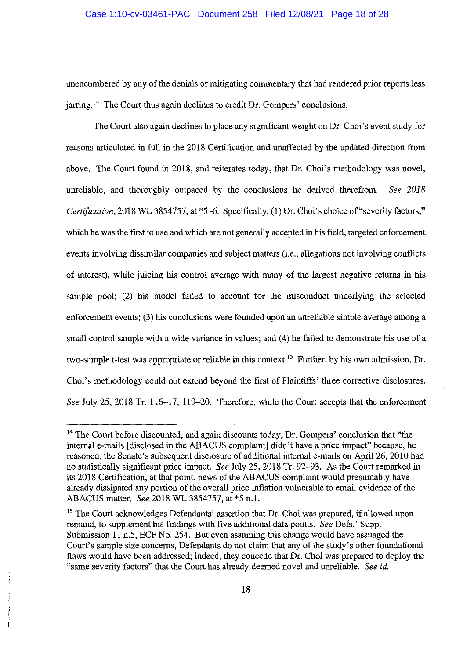### Case 1:10-cv-03461-PAC Document 258 Filed 12/08/21 Page 18 of 28

unencumbered by any of the denials or mitigating commentary that had rendered prior reports less  $j$ arring.<sup>14</sup> The Court thus again declines to credit Dr. Gompers' conclusions.

The Court also again declines to place any significant weight on Dr. Choi's event study for reasons articulated in full in the 2018 Certification and unaffected by the updated direction from above. The Court found in 2018, and reiterates today, that Dr. Choi's methodology was novel, unreliable, and thoroughly outpaced by the conclusions he derived therefrom. *See 2018 Certification,* 2018 WL 3854757, at \*5-6. Specifically, (1) Dr. Choi's choice of"severity factors," which he was the first to use and which are not generally accepted in his field, targeted enforcement events involving dissimilar companies and subject matters (i.e., allegations not involving conflicts of interest), while juicing his control average with many of the largest negative returns in his sample pool; (2) his model failed to account for the misconduct underlying the selected enforcement events; (3) his conclusions were founded upon an unreliable simple average among a small control sample with a wide variance in values; and (4) he failed to demonstrate his use of a two-sample t-test was appropriate or reliable in this context.<sup>15</sup> Further, by his own admission, Dr. Choi's methodology could not extend beyond the first of Plaintiffs' three corrective disclosures. *See* July 25, 2018 Tr. 116-17, 119-20. Therefore, while the Court accepts that the enforcement

<sup>&</sup>lt;sup>14</sup> The Court before discounted, and again discounts today, Dr. Gompers' conclusion that "the internal e-mails [ disclosed in the ABACUS complaint] didn't have a price impact" because, he reasoned, the Senate's subsequent disclosure of additional internal e-mails on April 26, 2010 had no statistically significant price impact. *See* July 25, 2018 Tr. 92-93. As the Court remarked in its 2018 Certification, at that point, news of the ABACUS complaint would presumably have already dissipated any portion of the overall price inflation vulnerable to email evidence of the ABACUS matter. *See* 2018 WL 3854757, at \*5 n.1.

<sup>&</sup>lt;sup>15</sup> The Court acknowledges Defendants' assertion that Dr. Choi was prepared, if allowed upon remand, to supplement his findings with five additional data points. *See* Defs.' Supp. Submission 11 n.5, ECF No. 254. But even assuming this change would have assuaged the Court's sample size concerns, Defendants do not claim that any of the study's other foundational flaws would have been addressed; indeed, they concede that Dr. Choi was prepared to deploy the "same severity factors" that the Court has already deemed novel and unreliable. *See id.*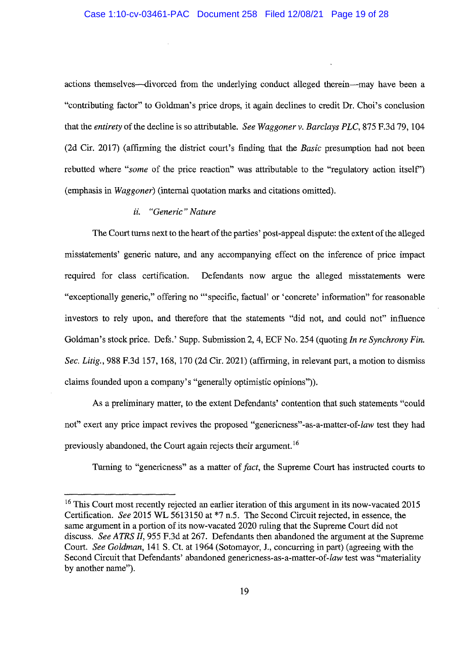### Case 1:10-cv-03461-PAC Document 258 Filed 12/08/21 Page 19 of 28

actions themselves--divorced from the underlying conduct alleged therein-may have been a "contributing factor" to Goldman's price drops, it again declines to credit Dr. Choi's conclusion that the *entirety* of the decline is so attributable. *See Waggoner v. Barclays PLC,* 875 F.3d 79, 104 (2d Cir. 2017) (affirming the district court's finding that the *Basic* presumption had not been rebutted where *"some* of the price reaction" was attributable to the "regulatory action itself') (emphasis in *Waggoner)* (internal quotation marks and citations omitted).

# *ii. "Generic" Nature*

The Court turns next to the heart of the parties' post-appeal dispute: the extent of the alleged misstatements' generic nature, and any accompanying effect on the inference of price impact required for class certification. Defendants now argue the alleged misstatements were "exceptionally generic," offering no '"specific, factual' or 'concrete' information" for reasonable investors to rely upon, and therefore that the statements "did not, and could not" influence Goldman's stock price. Defs.' Supp. Submission 2, 4, ECF No. 254 (quoting *In re Synchrony Fin. Sec. Litig.,* 988 F.3d 157, 168, 170 (2d Cir. 2021) (affirming, in relevant part, a motion to dismiss claims founded upon a company's "generally optimistic opinions")).

As a preliminary matter, to the extent Defendants' contention that such statements "could not" exert any price impact revives the proposed "genericness" -as-a-matter-of-law test they had previously abandoned, the Court again rejects their argument. <sup>16</sup>

Turning to "genericness" as a matter of *fact,* the Supreme Court has instructed courts to

<sup>&</sup>lt;sup>16</sup> This Court most recently rejected an earlier iteration of this argument in its now-vacated 2015 Certification. *See* 2015 WL 5613150 at \*7 n.5. The Second Circuit rejected, in essence, the same argument in a portion of its now-vacated 2020 ruling that the Supreme Court did not discuss. *See ATRS II,* 955 F.3d at 267. Defendants then abandoned the argument at the Supreme Court. *See Goldman,* 141 S. Ct. at 1964 (Sotomayor, J., concurring in part) (agreeing with the Second Circuit that Defendants' abandoned genericness-as-a-matter-of-law test was "materiality by another name").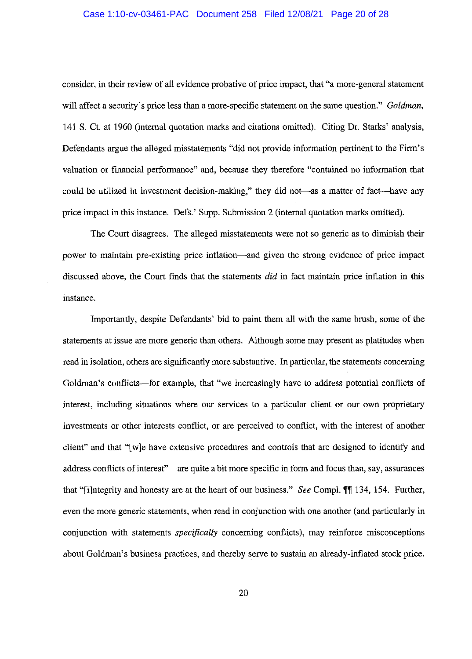### Case 1:10-cv-03461-PAC Document 258 Filed 12/08/21 Page 20 of 28

consider, in their review of all evidence probative of price impact, that "a more-general statement will affect a security's price less than a more-specific statement on the same question." *Goldman,*  141 S. Ct. at 1960 (internal quotation marks and citations omitted). Citing Dr. Starks' analysis, Defendants argue the alleged misstatements "did not provide information pertinent to the Firm's valuation or financial performance" and, because they therefore "contained no information that could be utilized in investment decision-making," they did not—as a matter of fact—have any price impact in this instance. Defs.' Supp. Submission 2 (internal quotation marks omitted).

The Court disagrees. The alleged misstatements were not so generic as to diminish their power to maintain pre-existing price inflation—and given the strong evidence of price impact discussed above, the Court finds that the statements *did* in fact maintain price inflation in this instance.

Importantly, despite Defendants' bid to paint them all with the same brush, some of the statements at issue are more generic than others. Although some may present as platitudes when read in isolation, others are significantly more substantive. In particular, the statements concerning Goldman's conflicts—for example, that "we increasingly have to address potential conflicts of interest, including situations where our services to a particular client or our own proprietary investments or other interests conflict, or are perceived to conflict, with the interest of another client" and that "[ w ]e have extensive procedures and controls that are designed to identify and address conflicts of interest"—are quite a bit more specific in form and focus than, say, assurances that "[i]ntegrity and honesty are at the heart of our business." *See* Comp!. ff 134, 154. Further, even the more generic statements, when read in conjunction with one another ( and particularly in conjunction with statements *specifically* concerning conflicts), may reinforce misconceptions about Goldman's business practices, and thereby serve to sustain an already-inflated stock price.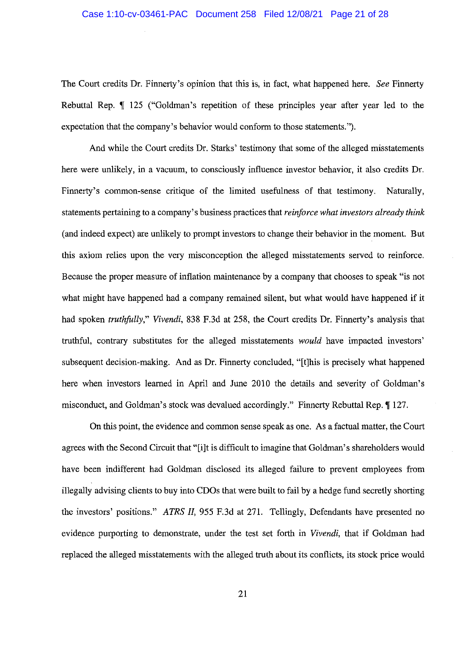# Case 1:10-cv-03461-PAC Document 258 Filed 12/08/21 Page 21 of 28

The Court credits Dr. Finnerty's opinion that this is, in fact, what happened here. *See* Finnerty Rebuttal Rep. **125** ("Goldman's repetition of these principles year after year led to the expectation that the company's behavior would conform to those statements.").

And while the Court credits Dr. Starks' testimony that some of the alleged misstatements here were unlikely, in a vacuum, to consciously influence investor behavior, it also credits Dr. Finnerty's common-sense critique of the limited usefulness of that testimony. Naturally, statements pertaining to a company's business practices that *reinforce what investors already think*  (and indeed expect) are unlikely to prompt investors to change their behavior in the moment. But this axiom relies upon the very misconception the alleged misstatements served to reinforce. Because the proper measure of inflation maintenance by a company that chooses to speak "is not what might have happened had a company remained silent, but what would have happened if it had spoken *truthfully," Vivendi,* 838 F.3d at 258, the Court credits Dr. Finnerty's analysis that truthful, contrary substitutes for the alleged misstatements *would* have impacted investors' subsequent decision-making. And as Dr. Finnerty concluded, "[t]his is precisely what happened here when investors learned in April and June 2010 the details and severity of Goldman's misconduct, and Goldman's stock was devalued accordingly." Finnerty Rebuttal Rep. **[127.** 

On this point, the evidence and common sense speak as one. As a factual matter, the Court agrees with the Second Circuit that "[i]t is difficult to imagine that Goldman's shareholders would have been indifferent had Goldman disclosed its alleged failure to prevent employees from illegally advising clients to buy into CDOs that were built to fail by a hedge fund secretly shorting the investors' positions." *ATRS II,* 955 F.3d at 271. Tellingly, Defendants have presented no evidence purporting to demonstrate, under the test set forth in *Vivendi,* that if Goldman had replaced the alleged misstatements with the alleged truth about its conflicts, its stock price would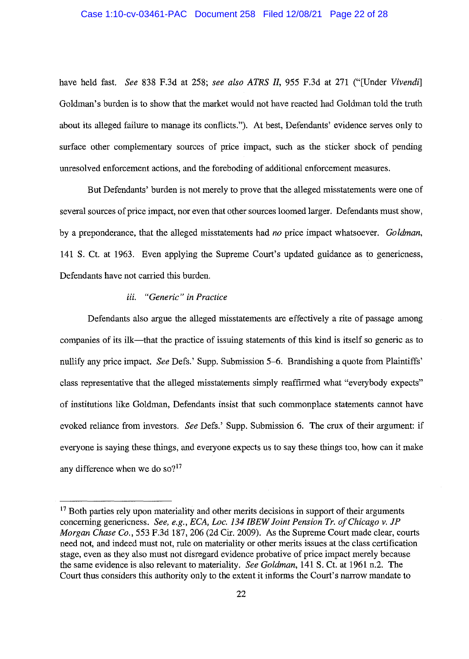### Case 1:10-cv-03461-PAC Document 258 Filed 12/08/21 Page 22 of 28

have held fast. *See* 838 F.3d at 258; *see also ATRS II,* 955 F.3d at 271 ("[Under *Vivendi]*  Goldman's burden is to show that the market would not have reacted had Goldman told the truth about its alleged failure to manage its conflicts."). At best, Defendants' evidence serves only to surface other complementary sources of price impact, such as the sticker shock of pending unresolved enforcement actions, and the foreboding of additional enforcement measures.

But Defendants' burden is not merely to prove that the alleged misstatements were one of several sources of price impact, nor even that other sources loomed larger. Defendants must show, by a preponderance, that the alleged misstatements had *no* price impact whatsoever. *Goldman,*  141 S. Ct. at 1963. Even applying the Supreme Court's updated guidance as to genericness, Defendants have not carried this burden.

# *iii. "Generic" in Practice*

Defendants also argue the alleged misstatements are effectively a rite of passage among companies of its ilk—that the practice of issuing statements of this kind is itself so generic as to nullify any price impact. *See* Defs.' Supp. Submission 5-6. Brandishing a quote from Plaintiffs' class representative that the alleged misstatements simply reaffirmed what "everybody expects" of institutions like Goldman, Defendants insist that such commonplace statements cannot have evoked reliance from investors. *See* Defs.' Supp. Submission 6. The crux of their argument: if everyone is saying these things, and everyone expects us to say these things too, how can it make any difference when we do so? $17$ 

 $17$  Both parties rely upon materiality and other merits decisions in support of their arguments concerning genericness. *See, e.g., ECA, Loc. 134 IBEW Joint Pension Tr. of Chicago v. JP Morgan Chase Co.,* 553 F.3d 187,206 (2d Cir. 2009). As the Supreme Court made clear, courts need not, and indeed must not, rule on materiality or other merits issues at the class certification stage, even as they also must not disregard evidence probative of price impact merely because the same evidence is also relevant to materiality. *See Goldman,* 141 S. Ct. at 1961 n.2. The Court thus considers this authority only to the extent it informs the Court's narrow mandate to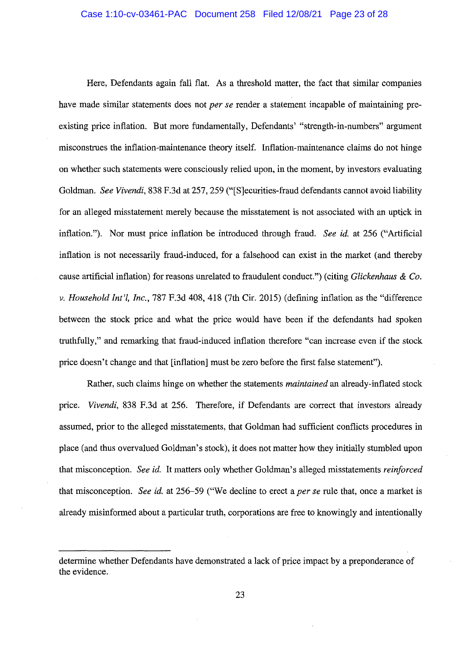### Case 1:10-cv-03461-PAC Document 258 Filed 12/08/21 Page 23 of 28

Here, Defendants again fall flat. As a threshold matter, the fact that similar companies have made similar statements does not *per se* render a statement incapable of maintaining preexisting price inflation. But more fundamentally, Defendants' "strength-in-numbers" argument misconstrues the inflation-maintenance theory itself. Inflation-maintenance claims do not hinge on whether such statements were consciously relied upon, in the moment, by investors evaluating Goldman. *See Vivendi,* 838 F.3d at 257,259 ("[S]ecurities-fraud defendants cannot avoid liability for an alleged misstatement merely because the misstatement is not associated with an uptick in inflation."). Nor must price inflation be introduced through fraud. *See id.* at 256 ("Artificial inflation is not necessarily fraud-induced, for a falsehood can exist in the market (and thereby cause artificial inflation) for reasons unrelated to fraudulent conduct.") (citing *Glickenhaus & Co. v. Household Int'/, Inc.,* 787 F.3d 408, 418 (7th Cir. 2015) (defining inflation as the "difference between the stock price and what the price would have been if the defendants had spoken truthfully," and remarking that fraud-induced inflation therefore "can increase even if the stock price doesn't change and that [inflation] must be zero before the first false statement").

Rather, such claims hinge on whether the statements *maintained* an already-inflated stock price. *Vivendi,* 838 F.3d at 256. Therefore, if Defendants are correct that investors already assumed, prior to the alleged misstatements, that Goldman had sufficient conflicts procedures in place (and thus overvalued Goldman's stock), it does not matter how they initially stumbled upon that misconception. *See id.* It matters only whether Goldman's alleged misstatements *reinforced*  that misconception. *See id.* at 256-59 ("We decline to erect a *per se* rule that, once a market is already misinformed about a particular truth, corporations are free to knowingly and intentionally

determine whether Defendants have demonstrated a lack of price impact by a preponderance of the evidence.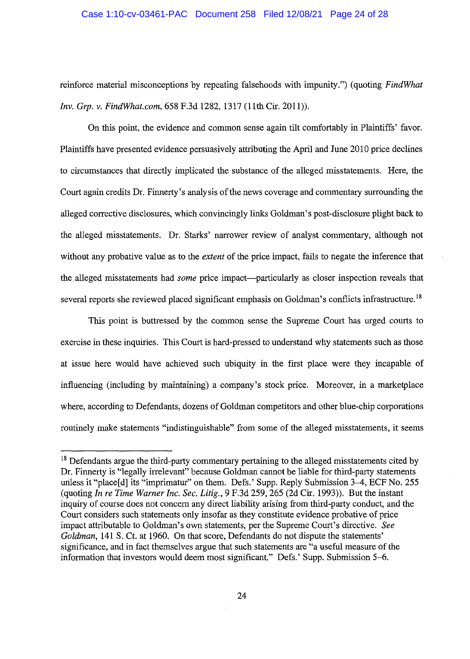### Case 1:10-cv-03461-PAC Document 258 Filed 12/08/21 Page 24 of 28

reinforce material misconceptions by repeating falsehoods with impunity.") (quoting *FindWhat Inv. Grp. v. FindWhat.com,* 658 F.3d 1282, 1317 (11th Cir. 2011)).

On this point, the evidence and common sense again tilt comfortably in Plaintiffs' favor. Plaintiffs have presented evidence persuasively attributing the April and June 2010 price declines to circumstances that directly implicated the substance of the alleged misstatements. Here, the Court again credits Dr. Finnerty's analysis of the news coverage and commentary surrounding the alleged corrective disclosures, which convincingly links Goldman's post-disclosure plight back to the alleged misstatements. Dr. Starks' narrower review of analyst commentary, although not without any probative value as to the *extent* of the price impact, fails to negate the inference that the alleged misstatements had *some* price impact—particularly as closer inspection reveals that several reports she reviewed placed significant emphasis on Goldman's conflicts infrastructure.<sup>18</sup>

This point is buttressed by the common sense the Supreme Court has urged courts to exercise in these inquiries. This Court is hard-pressed to understand why statements such as those at issue here would have achieved such ubiquity in the first place were they incapable of influencing (including by maintaining) a company's stock price. Moreover, in a marketplace where, according to Defendants, dozens of Goldman competitors and other blue-chip corporations routinely make statements "indistinguishable" from some of the alleged misstatements, it seems

<sup>&</sup>lt;sup>18</sup> Defendants argue the third-party commentary pertaining to the alleged misstatements cited by Dr. Finnerty is "legally irrelevant" because Goldman cannot be liable for third-party statements unless it "place[d] its "imprimatur" on them. Defs.' Supp. Reply Submission 3-4, ECF No. 255 (quoting *In re Time Warner Inc. Sec. Litig.,* 9 F.3d 259,265 (2d Cir. 1993)). But the instant inquiry of course does not concern any direct liability arising from third-party conduct, and the Court considers such statements only insofar as they constitute evidence probative of price impact attributable to Goldman's own statements, per the Supreme Court's directive. *See Goldman,* 141 S. Ct. at 1960. On that score, Defendants do not dispute the statements' significance, and in fact themselves argue that such statements are "a useful measure of the information that investors would deem most significant." Defs.' Supp. Submission 5-6.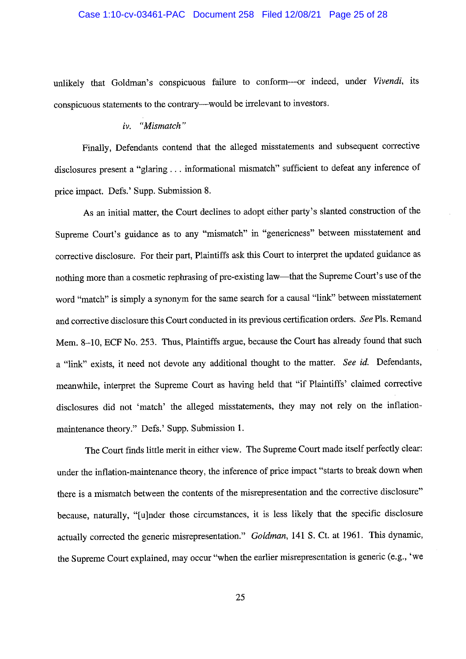### Case 1:10-cv-03461-PAC Document 258 Filed 12/08/21 Page 25 of 28

unlikely that Goldman's conspicuous failure to conform-or indeed, under *Vivendi,* its conspicuous statements to the contrary-would be irrelevant to investors.

# *iv. "Mismatch"*

Finally, Defendants contend that the alleged misstatements and subsequent corrective disclosures present a "glaring ... informational mismatch" sufficient to defeat any inference of price impact. Defs.' Supp. Submission 8.

As an initial matter, the Court declines to adopt either party's slanted construction of the Supreme Court's guidance as to any "mismatch" in "genericness" between misstatement and corrective disclosure. For their part, Plaintiffs ask this Court to interpret the updated guidance as nothing more than a cosmetic rephrasing of pre-existing law-that the Supreme Court's use of the word "match" is simply a synonym for the same search for a causal "link" between misstatement and corrective disclosure this Court conducted in its previous certification orders. *See* Pis. Remand Mem. 8-10, ECF No. 253. Thus, Plaintiffs argue, because the Court has already found that such a "link" exists, it need not devote any additional thought to the matter. *See id.* Defendants, meanwhile, interpret the Supreme Court as having held that "if Plaintiffs' claimed corrective disclosures did not 'match' the alleged misstatements, they may not rely on the inflationmaintenance theory." Defs.' Supp. Submission 1.

The Court finds little merit in either view. The Supreme Court made itself perfectly clear: under the inflation-maintenance theory, the inference of price impact "starts to break down when there is a mismatch between the contents of the misrepresentation and the corrective disclosure" because, naturally, "[u]nder those circumstances, it is less likely that the specific disclosure actually corrected the generic misrepresentation." *Goldman,* 141 S. Ct. at 1961. This dynamic, the Supreme Court explained, may occur "when the earlier misrepresentation is generic (e.g., 'we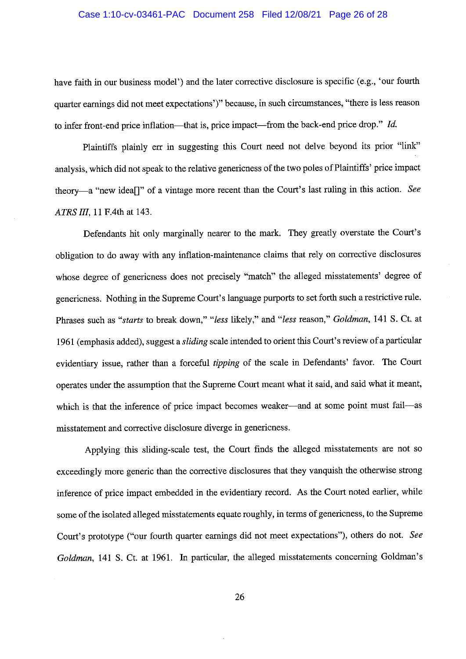### Case 1:10-cv-03461-PAC Document 258 Filed 12/08/21 Page 26 of 28

have faith in our business model') and the later corrective disclosure is specific (e.g., 'our fourth quarter earnings did not meet expectations')" because, in such circumstances, "there is less reason to infer front-end price inflation-that is, price impact-from the back-end price drop." *Id.* 

Plaintiffs plainly err in suggesting this Court need not delve beyond its prior "link" analysis, which did not speak to the relative genericness of the two poles of Plaintiffs' price impact theory-a "new idea[]" of a vintage more recent than the Court's last ruling in this action. *See ATRS III,* 11 F.4th at 143.

Defendants hit only marginally nearer to the mark. They greatly overstate the Court's obligation to do away with any inflation-maintenance claims that rely on corrective disclosures whose degree of genericness does not precisely "match" the alleged misstatements' degree of genericness. Nothing in the Supreme Court's language purports to set forth such a restrictive rule. Phrases such as *"starts* to break down," *"less* likely," and *"less* reason," *Goldman,* 141 S. Ct. at 1961 ( emphasis added), suggest a *sliding* scale intended to orient this Court's review of a particular evidentiary issue, rather than a forceful *tipping* of the scale in Defendants' favor. The Court operates under the assumption that the Supreme Court meant what it said, and said what it meant, which is that the inference of price impact becomes weaker-and at some point must fail-as misstatement and corrective disclosure diverge in genericness.

Applying this sliding-scale test, the Court finds the alleged misstatements are not so exceedingly more generic than the corrective disclosures that they vanquish the otherwise strong inference of price impact embedded in the evidentiary record. As the Court noted earlier, while some of the isolated alleged misstatements equate roughly, in terms of genericness, to the Supreme Court's prototype ("our fourth quarter earnings did not meet expectations"), others do not. *See Goldman,* 141 S. Ct. at 1961. In particular, the alleged misstatements concerning Goldman's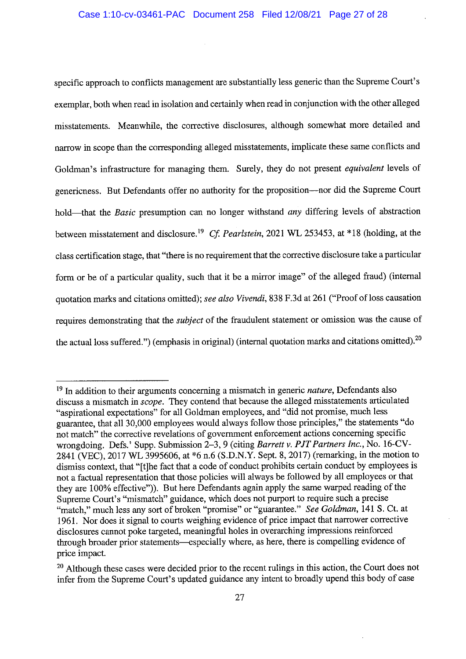specific approach to conflicts management are substantially less generic than the Supreme Court's exemplar, both when read in isolation and certainly when read in conjunction with the other alleged misstatements. Meanwhile, the corrective disclosures, although somewhat more detailed and narrow in scope than the corresponding alleged misstatements, implicate these same conflicts and Goldman's infrastructure for managing them. Surely, they do not present *equivalent* levels of genericness. But Defendants offer no authority for the proposition-nor did the Supreme Court hold-that the *Basic* presumption can no longer withstand *any* differing levels of abstraction between misstatement and disclosure. <sup>19</sup>*Cf Pearlstein,* 2021 WL 253453, at \*18 (holding, at the class certification stage, that "there is no requirement that the corrective disclosure take a particular form or be of a particular quality, such that it be a mirror image" of the alleged fraud) (internal quotation marks and citations omitted); *see also Vivendi,* 838 F.3d at 261 ("Proof ofloss causation requires demonstrating that the *subject* of the fraudulent statement or omission was the cause of the actual loss suffered.") (emphasis in original) (internal quotation marks and citations omitted).<sup>20</sup>

<sup>19</sup> In addition to their arguments concerning a mismatch in generic *nature,* Defendants also discuss a mismatch in *scope.* They contend that because the alleged misstatements articulated "aspirational expectations" for all Goldman employees, and "did not promise, much less guarantee, that all 30,000 employees would always follow those principles," the statements "do not match" the corrective revelations of government enforcement actions concerning specific wrongdoing. Defs.' Supp. Submission 2-3, 9 (citing *Barrett v. PJT Partners Inc.,* No. 16-CV-2841 (VEC), 2017 WL 3995606, at \*6 n.6 **(S.D.N.Y.** Sept. 8, 2017) (remarking, in the motion to dismiss context, that "[t]he fact that a code of conduct prohibits certain conduct by employees is not a factual representation that those policies will always be followed by all employees or that they are 100% effective")). But here Defendants again apply the same warped reading of the Supreme Court's "mismatch" guidance, which does not purport to require such a precise "match," much less any sort of broken "promise" or "guarantee." *See Goldman*, 141 S. Ct. at 1961. Nor does it signal to courts weighing evidence of price impact that narrower corrective disclosures cannot poke targeted, meaningful holes in overarching impressions reinforced through broader prior statements—especially where, as here, there is compelling evidence of price impact.

<sup>&</sup>lt;sup>20</sup> Although these cases were decided prior to the recent rulings in this action, the Court does not infer from the Supreme Court's updated guidance any intent to broadly upend this body of case